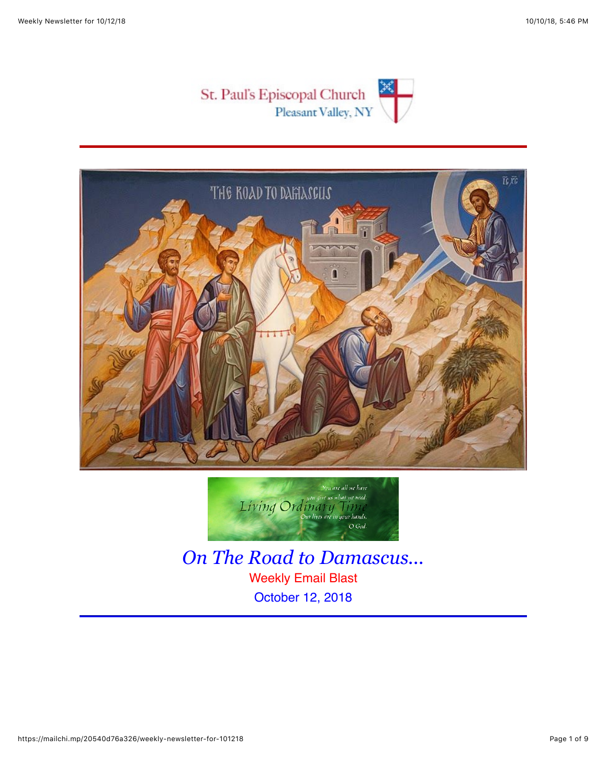





*On The Road to Damascus...* Weekly Email Blast October 12, 2018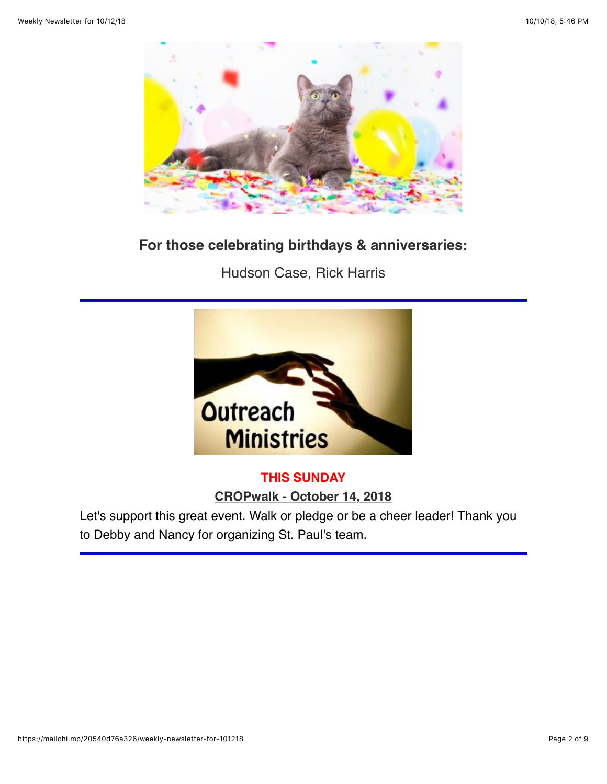

# **For those celebrating birthdays & anniversaries:**

Hudson Case, Rick Harris



# **THIS SUNDAY**

**CROPwalk - October 14, 2018**

Let's support this great event. Walk or pledge or be a cheer leader! Thank you to Debby and Nancy for organizing St. Paul's team.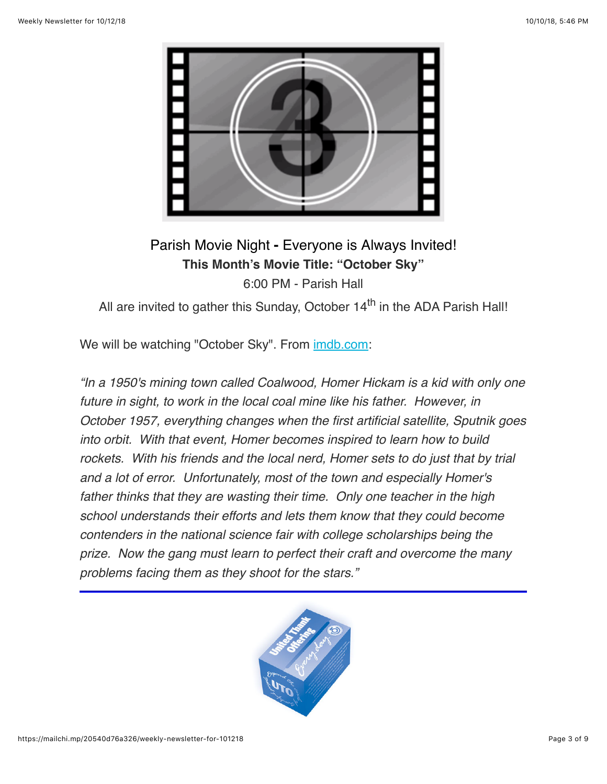

# Parish Movie Night **-** Everyone is Always Invited! **This Month's Movie Title: "October Sky"** 6:00 PM - Parish Hall

All are invited to gather this Sunday, October  $14<sup>th</sup>$  in the ADA Parish Hall!

We will be watching "October Sky". From [imdb.com:](https://stpaulspv.us15.list-manage.com/track/click?u=3b25c5a57b31a98c4b91ce167&id=4db44c2c4d&e=fc9fad777d)

*"In a 1950's mining town called Coalwood, Homer Hickam is a kid with only one future in sight, to work in the local coal mine like his father. However, in October 1957, everything changes when the first artificial satellite, Sputnik goes into orbit. With that event, Homer becomes inspired to learn how to build rockets. With his friends and the local nerd, Homer sets to do just that by trial and a lot of error. Unfortunately, most of the town and especially Homer's father thinks that they are wasting their time. Only one teacher in the high school understands their efforts and lets them know that they could become contenders in the national science fair with college scholarships being the prize. Now the gang must learn to perfect their craft and overcome the many problems facing them as they shoot for the stars."*

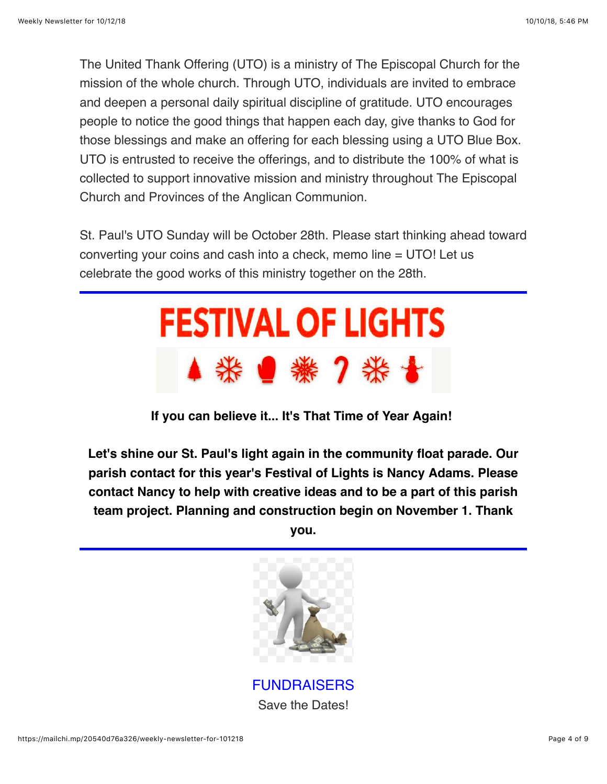The United Thank Offering (UTO) is a ministry of The Episcopal Church for the mission of the whole church. Through UTO, individuals are invited to embrace and deepen a personal daily spiritual discipline of gratitude. UTO encourages people to notice the good things that happen each day, give thanks to God for those blessings and make an offering for each blessing using a UTO Blue Box. UTO is entrusted to receive the offerings, and to distribute the 100% of what is collected to support innovative mission and ministry throughout The Episcopal Church and Provinces of the Anglican Communion.

St. Paul's UTO Sunday will be October 28th. Please start thinking ahead toward converting your coins and cash into a check, memo line = UTO! Let us celebrate the good works of this ministry together on the 28th.



**If you can believe it... It's That Time of Year Again!** 

**Let's shine our St. Paul's light again in the community float parade. Our parish contact for this year's Festival of Lights is Nancy Adams. Please contact Nancy to help with creative ideas and to be a part of this parish team project. Planning and construction begin on November 1. Thank**

**you.**



FUNDRAISERS Save the Dates!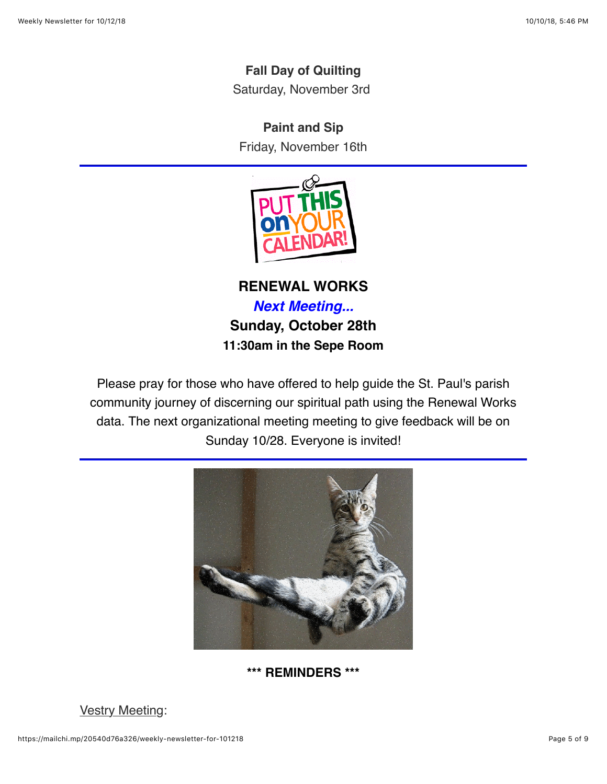### **Fall Day of Quilting**

Saturday, November 3rd

#### **Paint and Sip**

Friday, November 16th



**RENEWAL WORKS** *Next Meeting...* **Sunday, October 28th 11:30am in the Sepe Room**

Please pray for those who have offered to help guide the St. Paul's parish community journey of discerning our spiritual path using the Renewal Works data. The next organizational meeting meeting to give feedback will be on Sunday 10/28. Everyone is invited!



#### **\*\*\* REMINDERS \*\*\***

#### **Vestry Meeting:**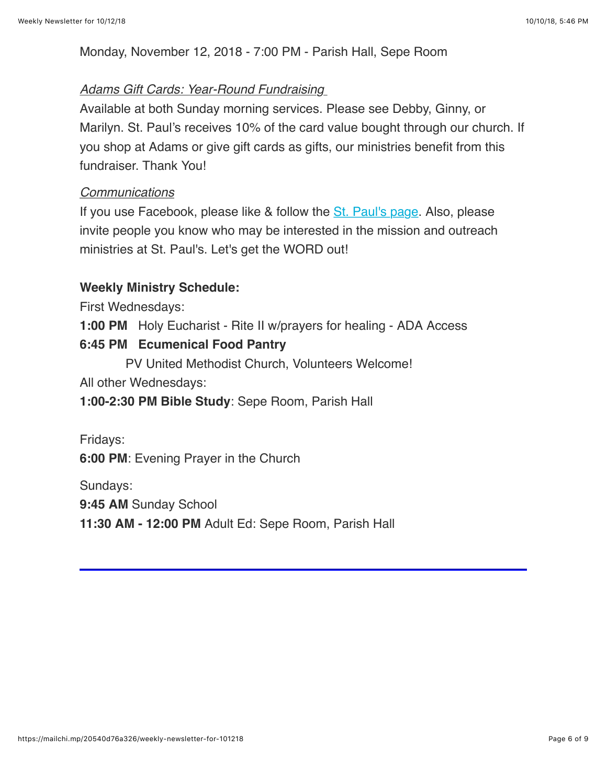Monday, November 12, 2018 - 7:00 PM - Parish Hall, Sepe Room

#### *Adams Gift Cards: Year-Round Fundraising*

Available at both Sunday morning services. Please see Debby, Ginny, or Marilyn. St. Paul's receives 10% of the card value bought through our church. If you shop at Adams or give gift cards as gifts, our ministries benefit from this fundraiser. Thank You!

#### *Communications*

If you use Facebook, please like & follow the **[St. Paul's page](https://www.facebook.com/stpaulspleasantvalley/?ref=bookmarks)**. Also, please invite people you know who may be interested in the mission and outreach ministries at St. Paul's. Let's get the WORD out!

#### **Weekly Ministry Schedule:**

First Wednesdays:

**1:00 PM** Holy Eucharist - Rite II w/prayers for healing - ADA Access

#### **6:45 PM Ecumenical Food Pantry**

PV United Methodist Church, Volunteers Welcome!

All other Wednesdays:

**1:00-2:30 PM Bible Study**: Sepe Room, Parish Hall

Fridays:

**6:00 PM**: Evening Prayer in the Church

Sundays:

**9:45 AM** Sunday School

**11:30 AM - 12:00 PM** Adult Ed: Sepe Room, Parish Hall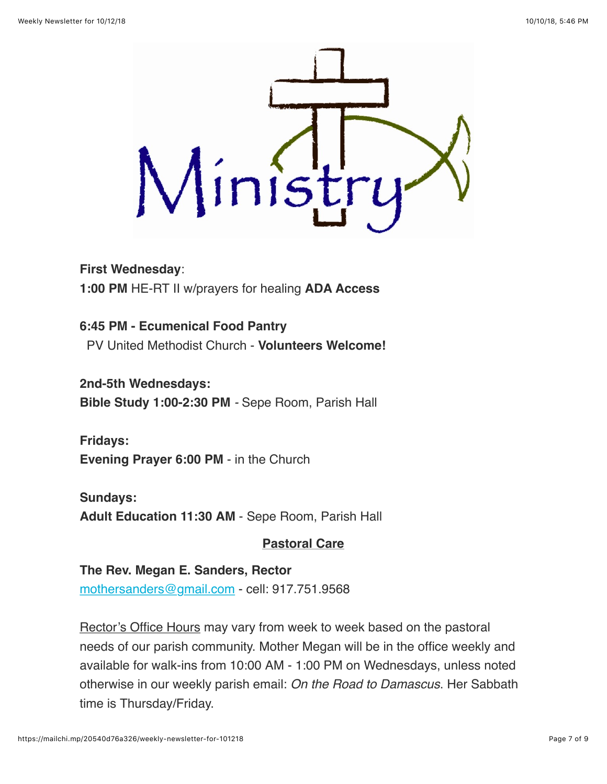

**First Wednesday**: **1:00 PM** HE-RT II w/prayers for healing **ADA Access**

**6:45 PM - Ecumenical Food Pantry** PV United Methodist Church - **Volunteers Welcome!**

**2nd-5th Wednesdays: Bible Study 1:00-2:30 PM** *-* Sepe Room, Parish Hall

**Fridays: Evening Prayer 6:00 PM** - in the Church

**Sundays: Adult Education 11:30 AM** - Sepe Room, Parish Hall

### **Pastoral Care**

### **The Rev. Megan E. Sanders, Rector**

[mothersanders@gmail.com](mailto:mothersanders@gmail.com) - cell: 917.751.9568

Rector's Office Hours may vary from week to week based on the pastoral needs of our parish community. Mother Megan will be in the office weekly and available for walk-ins from 10:00 AM - 1:00 PM on Wednesdays, unless noted otherwise in our weekly parish email: *On the Road to Damascus*. Her Sabbath time is Thursday/Friday.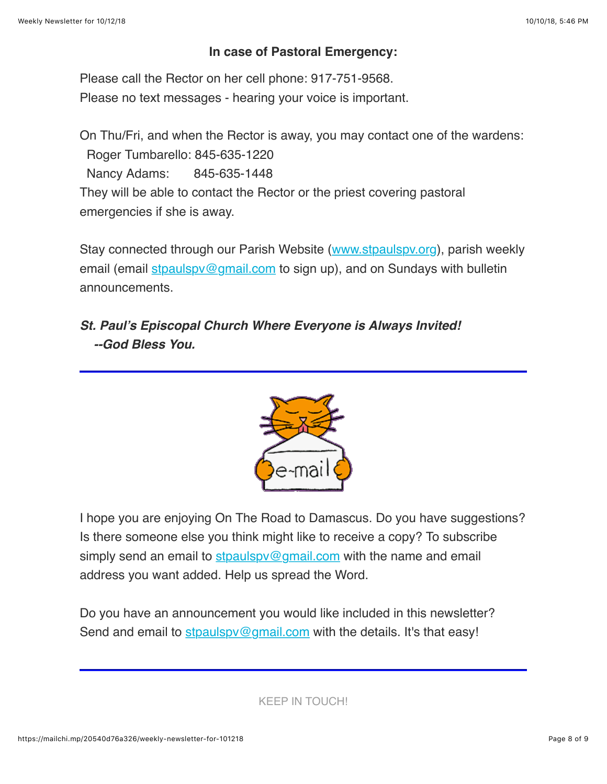### **In case of Pastoral Emergency:**

Please call the Rector on her cell phone: 917-751-9568. Please no text messages - hearing your voice is important.

On Thu/Fri, and when the Rector is away, you may contact one of the wardens: Roger Tumbarello: 845-635-1220 Nancy Adams: 845-635-1448 They will be able to contact the Rector or the priest covering pastoral emergencies if she is away.

Stay connected through our Parish Website ([www.stpaulspv.org\)](http://www.stpaulspv.org/), parish weekly email (email stpaulspy@gmail.com to sign up), and on Sundays with bulletin announcements.

# *St. Paul's Episcopal Church Where Everyone is Always Invited! --God Bless You.*



I hope you are enjoying On The Road to Damascus. Do you have suggestions? Is there someone else you think might like to receive a copy? To subscribe simply send an email to  $\frac{\text{stpaulspv@gmail.com}}{\text{gmail.com}}$  $\frac{\text{stpaulspv@gmail.com}}{\text{gmail.com}}$  $\frac{\text{stpaulspv@gmail.com}}{\text{gmail.com}}$  with the name and email address you want added. Help us spread the Word.

Do you have an announcement you would like included in this newsletter? Send and email to stpaulspy@gmail.com with the details. It's that easy!

KEEP IN TOUCH!